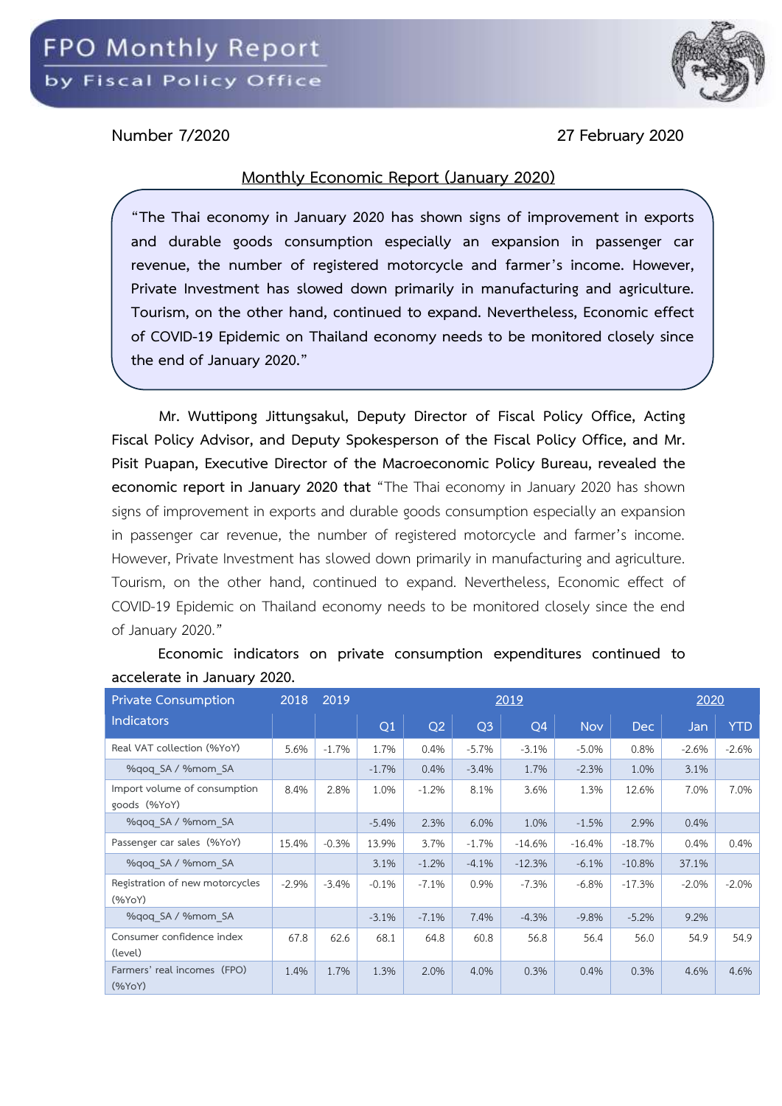

**Number 7/2020 27 February 2020**

## **Monthly Economic Report (January 2020)**

**"The Thai economy in January 2020 has shown signs of improvement in exports and durable goods consumption especially an expansion in passenger car revenue, the number of registered motorcycle and farmer's income. However, Private Investment has slowed down primarily in manufacturing and agriculture. Tourism, on the other hand, continued to expand. Nevertheless, Economic effect of COVID-19 Epidemic on Thailand economy needs to be monitored closely since the end of January 2020."**

**Mr. Wuttipong Jittungsakul, Deputy Director of Fiscal Policy Office, Acting Fiscal Policy Advisor, and Deputy Spokesperson of the Fiscal Policy Office, and Mr. Pisit Puapan, Executive Director of the Macroeconomic Policy Bureau, revealed the economic report in January 2020 that** "The Thai economy in January 2020 has shown signs of improvement in exports and durable goods consumption especially an expansion in passenger car revenue, the number of registered motorcycle and farmer's income. However, Private Investment has slowed down primarily in manufacturing and agriculture. Tourism, on the other hand, continued to expand. Nevertheless, Economic effect of COVID-19 Epidemic on Thailand economy needs to be monitored closely since the end of January 2020."

| <b>Private Consumption</b>                   | 2018    | 2019    |         |          | 2020           |           |            |          |         |            |
|----------------------------------------------|---------|---------|---------|----------|----------------|-----------|------------|----------|---------|------------|
| <b>Indicators</b>                            |         |         | Q1      | Q2       | Q <sub>3</sub> | <b>O4</b> | <b>Nov</b> | Dec      | Jan     | <b>YTD</b> |
| Real VAT collection (%YoY)                   | 5.6%    | $-1.7%$ | 1.7%    | 0.4%     | $-5.7\%$       | $-3.1%$   | $-5.0%$    | 0.8%     | $-2.6%$ | $-2.6%$    |
| %gog SA / %mom SA                            |         |         | $-1.7%$ | 0.4%     | $-3.4%$        | 1.7%      | $-2.3%$    | 1.0%     | 3.1%    |            |
| Import volume of consumption<br>goods (%YoY) | 8.4%    | 2.8%    | 1.0%    | $-1.2%$  | 8.1%           | 3.6%      | 1.3%       | 12.6%    | 7.0%    | 7.0%       |
| %gog SA / %mom SA                            |         |         | $-5.4%$ | 2.3%     | 6.0%           | 1.0%      | $-1.5%$    | 2.9%     | 0.4%    |            |
| Passenger car sales (%YoY)                   | 15.4%   | $-0.3%$ | 13.9%   | 3.7%     | $-1.7%$        | $-14.6%$  | $-16.4%$   | $-18.7%$ | 0.4%    | 0.4%       |
| %gog SA / %mom SA                            |         |         | 3.1%    | $-1.2%$  | $-4.1%$        | $-12.3%$  | $-6.1%$    | $-10.8%$ | 37.1%   |            |
| Registration of new motorcycles<br>(%YoY)    | $-2.9%$ | $-3.4%$ | $-0.1%$ | $-7.1\%$ | 0.9%           | $-7.3%$   | $-6.8%$    | $-17.3%$ | $-2.0%$ | $-2.0%$    |
| %gog SA / %mom SA                            |         |         | $-3.1%$ | $-7.1%$  | 7.4%           | $-4.3%$   | $-9.8%$    | $-5.2%$  | 9.2%    |            |
| Consumer confidence index<br>(level)         | 67.8    | 62.6    | 68.1    | 64.8     | 60.8           | 56.8      | 56.4       | 56.0     | 54.9    | 54.9       |
| Farmers' real incomes (FPO)<br>$(\%YoY)$     | 1.4%    | 1.7%    | 1.3%    | 2.0%     | 4.0%           | 0.3%      | 0.4%       | 0.3%     | 4.6%    | 4.6%       |

**Economic indicators on private consumption expenditures continued to accelerate in January 2020.**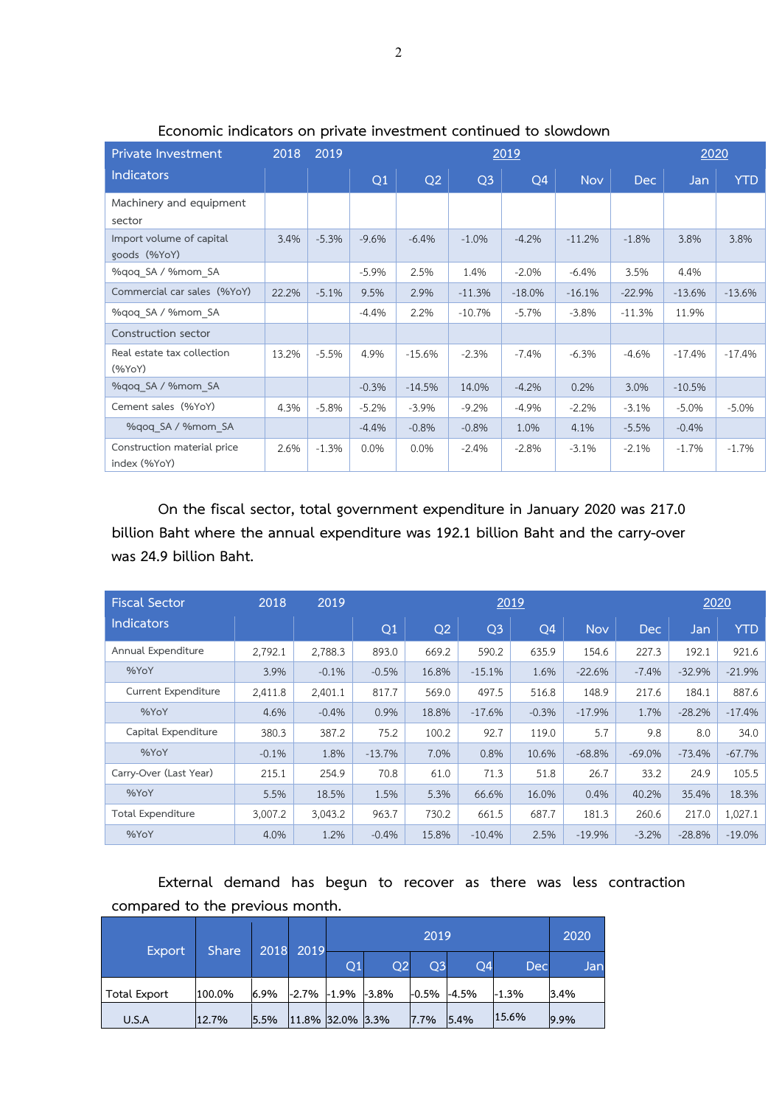| Private Investment                          | 2018  | 2019    |         |          | <u>2020</u>    |          |            |          |          |            |
|---------------------------------------------|-------|---------|---------|----------|----------------|----------|------------|----------|----------|------------|
| <b>Indicators</b>                           |       |         | Q1      | Q2       | Q <sub>3</sub> | Q4       | <b>Nov</b> | Dec      | Jan      | <b>YTD</b> |
| Machinery and equipment<br>sector           |       |         |         |          |                |          |            |          |          |            |
| Import volume of capital<br>goods (%YoY)    | 3.4%  | $-5.3%$ | $-9.6%$ | $-6.4%$  | $-1.0%$        | $-4.2%$  | $-11.2%$   | $-1.8%$  | 3.8%     | 3.8%       |
| %gog SA / %mom SA                           |       |         | $-5.9%$ | 2.5%     | 1.4%           | $-2.0%$  | $-6.4%$    | 3.5%     | 4.4%     |            |
| Commercial car sales (%YoY)                 | 22.2% | $-5.1%$ | 9.5%    | 2.9%     | $-11.3%$       | $-18.0%$ | $-16.1%$   | $-22.9%$ | $-13.6%$ | $-13.6%$   |
| %gog SA / %mom SA                           |       |         | $-4.4%$ | 2.2%     | $-10.7%$       | $-5.7%$  | $-3.8%$    | $-11.3%$ | 11.9%    |            |
| Construction sector                         |       |         |         |          |                |          |            |          |          |            |
| Real estate tax collection<br>$(\%$ YoY $)$ | 13.2% | $-5.5%$ | 4.9%    | $-15.6%$ | $-2.3%$        | $-7.4%$  | $-6.3%$    | $-4.6%$  | $-17.4%$ | $-17.4%$   |
| %gog SA / %mom SA                           |       |         | $-0.3%$ | $-14.5%$ | 14.0%          | $-4.2%$  | 0.2%       | 3.0%     | $-10.5%$ |            |
| Cement sales (%YoY)                         | 4.3%  | $-5.8%$ | $-5.2%$ | $-3.9%$  | $-9.2%$        | $-4.9%$  | $-2.2%$    | $-3.1%$  | $-5.0%$  | $-5.0%$    |
| %gog SA / %mom SA                           |       |         | $-4.4%$ | $-0.8%$  | $-0.8%$        | 1.0%     | 4.1%       | $-5.5%$  | $-0.4%$  |            |
| Construction material price<br>index (%YoY) | 2.6%  | $-1.3%$ | 0.0%    | 0.0%     | $-2.4%$        | $-2.8%$  | $-3.1%$    | $-2.1%$  | $-1.7%$  | $-1.7%$    |

**Economic indicators on private investment continued to slowdown**

**On the fiscal sector, total government expenditure in January 2020 was 217.0 billion Baht where the annual expenditure was 192.1 billion Baht and the carry-over was 24.9 billion Baht.**

| <b>Fiscal Sector</b>     | 2018    | 2019    |          | 2019           |                |                |            |            |          |            |  |
|--------------------------|---------|---------|----------|----------------|----------------|----------------|------------|------------|----------|------------|--|
| <b>Indicators</b>        |         |         | Q1       | Q <sub>2</sub> | Q <sub>3</sub> | Q <sub>4</sub> | <b>Nov</b> | <b>Dec</b> | Jan      | <b>YTD</b> |  |
| Annual Expenditure       | 2,792.1 | 2,788.3 | 893.0    | 669.2          | 590.2          | 635.9          | 154.6      | 227.3      | 192.1    | 921.6      |  |
| %YoY                     | 3.9%    | $-0.1%$ | $-0.5%$  | 16.8%          | $-15.1%$       | 1.6%           | $-22.6%$   | $-7.4%$    | $-32.9%$ | $-21.9%$   |  |
| Current Expenditure      | 2,411.8 | 2,401.1 | 817.7    | 569.0          | 497.5          | 516.8          | 148.9      | 217.6      | 184.1    | 887.6      |  |
| %YoY                     | 4.6%    | $-0.4%$ | 0.9%     | 18.8%          | $-17.6%$       | $-0.3%$        | $-17.9%$   | 1.7%       | $-28.2%$ | $-17.4%$   |  |
| Capital Expenditure      | 380.3   | 387.2   | 75.2     | 100.2          | 92.7           | 119.0          | 5.7        | 9.8        | 8.0      | 34.0       |  |
| %YoY                     | $-0.1%$ | 1.8%    | $-13.7%$ | 7.0%           | 0.8%           | 10.6%          | $-68.8%$   | $-69.0%$   | $-73.4%$ | $-67.7%$   |  |
| Carry-Over (Last Year)   | 215.1   | 254.9   | 70.8     | 61.0           | 71.3           | 51.8           | 26.7       | 33.2       | 24.9     | 105.5      |  |
| %YoY                     | 5.5%    | 18.5%   | 1.5%     | 5.3%           | 66.6%          | 16.0%          | 0.4%       | 40.2%      | 35.4%    | 18.3%      |  |
| <b>Total Expenditure</b> | 3,007.2 | 3,043.2 | 963.7    | 730.2          | 661.5          | 687.7          | 181.3      | 260.6      | 217.0    | 1,027.1    |  |
| %YoY                     | 4.0%    | 1.2%    | $-0.4%$  | 15.8%          | $-10.4%$       | 2.5%           | $-19.9%$   | $-3.2\%$   | $-28.8%$ | $-19.0%$   |  |

**External demand has begun to recover as there was less contraction compared to the previous month.** 

| <b>Export</b>       | <b>Share</b> | 2018 | 2019 |                        | 2020 |                |            |         |      |  |
|---------------------|--------------|------|------|------------------------|------|----------------|------------|---------|------|--|
|                     |              |      | Q1   | Q2                     | Q3   | O <sub>4</sub> | <b>Dec</b> |         | Jan. |  |
| <b>Total Export</b> | 100.0%       | 6.9% |      | $-2.7\% -1.9\% -3.8\%$ |      | $-0.5\%$       | $-4.5%$    | $-1.3%$ | 3.4% |  |
| U.S.A               | 12.7%        | 5.5% |      | 11.8% 32.0% 3.3%       |      | 7.7%           | 15.4%      | 15.6%   | 9.9% |  |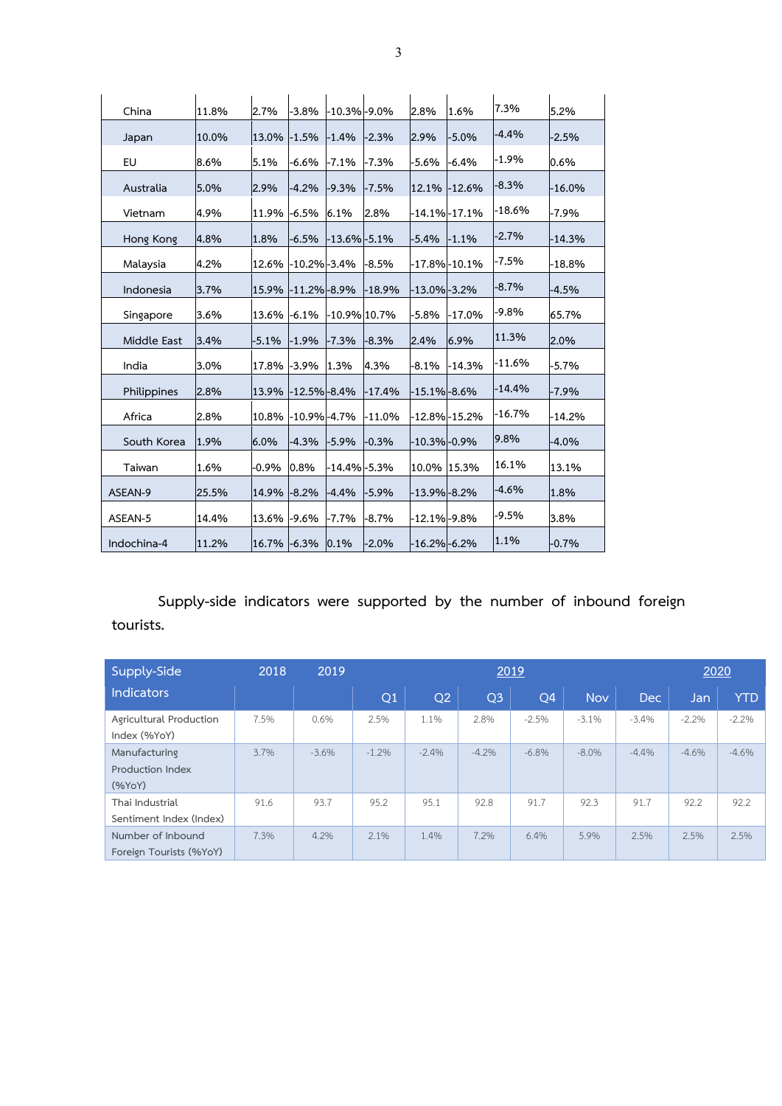| China       | 11.8% | 2.7%        | $-3.8\%$          | -10.3% -9.0%       |          | 2.8%              | 1.6%               | 7.3%     | 5.2%     |
|-------------|-------|-------------|-------------------|--------------------|----------|-------------------|--------------------|----------|----------|
| Japan       | 10.0% | 13.0%       | $-1.5%$           | $-1.4%$            | $-2.3%$  | 2.9%              | $-5.0%$            | $-4.4%$  | $-2.5%$  |
| EU          | 8.6%  | 5.1%        | -6.6%             | $-7.1%$            | -7.3%    | -5.6%             | -6.4%              | $-1.9\%$ | 0.6%     |
| Australia   | 5.0%  | 2.9%        | $-4.2%$           | $-9.3%$            | $-7.5%$  |                   | 12.1% - 12.6%      | $-8.3%$  | $-16.0%$ |
| Vietnam     | 4.9%  | 11.9%       | $-6.5%$           | 6.1%               | 2.8%     |                   | $-14.1\% - 17.1\%$ | $-18.6%$ | -7.9%    |
| Hong Kong   | 4.8%  | 1.8%        | $-6.5%$           | $-13.6\% - 5.1\%$  |          | $-5.4%$           | $-1.1%$            | $-2.7%$  | $-14.3%$ |
| Malaysia    | 4.2%  | 12.6%       | $-10.2\% - 3.4\%$ |                    | $-8.5%$  |                   | -17.8%-10.1%       | -7.5%    | $-18.8%$ |
| Indonesia   | 3.7%  | 15.9%       | $-11.2\% - 8.9\%$ |                    | $-18.9%$ | $-13.0\% -3.2\%$  |                    | $-8.7%$  | $-4.5%$  |
| Singapore   | 3.6%  | 13.6%       | $-6.1%$           | -10.9% 10.7%       |          | $-5.8%$           | $-17.0\%$          | $-9.8%$  | 65.7%    |
| Middle East | 3.4%  | $-5.1%$     | $-1.9%$           | $-7.3%$            | $-8.3%$  | 2.4%              | 6.9%               | 11.3%    | 2.0%     |
| India       | 3.0%  | 17.8%       | $-3.9%$           | 1.3%               | 4.3%     | $-8.1%$           | $-14.3%$           | $-11.6%$ | -5.7%    |
| Philippines | 2.8%  | 13.9%       | $-12.5\% - 8.4\%$ |                    | $-17.4%$ | $-15.1\% - 8.6\%$ |                    | $-14.4%$ | $-7.9%$  |
| Africa      | 2.8%  | 10.8%       | $-10.9\% - 4.7\%$ |                    | $-11.0%$ |                   | -12.8%-15.2%       | $-16.7%$ | $-14.2%$ |
| South Korea | 1.9%  | 6.0%        | $-4.3%$           | $-5.9%$            | $-0.3%$  | $-10.3\% -0.9\%$  |                    | 9.8%     | $-4.0%$  |
| Taiwan      | 1.6%  | $-0.9\%$    | 0.8%              | $-14.4\%$ $-5.3\%$ |          | 10.0% 15.3%       |                    | 16.1%    | 13.1%    |
| ASEAN-9     | 25.5% | 14.9%       | $-8.2%$           | $-4.4%$            | $-5.9%$  | $-13.9\% -8.2\%$  |                    | $-4.6%$  | 1.8%     |
| ASEAN-5     | 14.4% | 13.6% -9.6% |                   | $-7.7%$            | $-8.7%$  | $-12.1\% -9.8\%$  |                    | $-9.5%$  | 3.8%     |
| Indochina-4 | 11.2% | 16.7% -6.3% |                   | 0.1%               | $-2.0%$  | $-16.2\% - 6.2\%$ |                    | 1.1%     | $-0.7%$  |

**Supply-side indicators were supported by the number of inbound foreign tourists.**

| Supply-Side                                  | 2018 | 2019    |          | 2019           |                |                |            |            |         |            |
|----------------------------------------------|------|---------|----------|----------------|----------------|----------------|------------|------------|---------|------------|
| <b>Indicators</b>                            |      |         | Q1       | Q <sub>2</sub> | Q <sub>3</sub> | Q <sub>4</sub> | <b>Nov</b> | <b>Dec</b> | Jan/    | <b>YTD</b> |
| Agricultural Production<br>Index (%YoY)      | 7.5% | 0.6%    | 2.5%     | 1.1%           | 2.8%           | $-2.5%$        | $-3.1%$    | $-3.4%$    | $-2.2%$ | $-2.2%$    |
| Manufacturing<br>Production Index<br>(%YoY)  | 3.7% | $-3.6%$ | $-1.2\%$ | $-2.4%$        | $-4.2%$        | $-6.8\%$       | $-8.0\%$   | $-4.4%$    | $-4.6%$ | $-4.6%$    |
| Thai Industrial<br>Sentiment Index (Index)   | 91.6 | 93.7    | 95.2     | 95.1           | 92.8           | 91.7           | 92.3       | 91.7       | 92.2    | 92.2       |
| Number of Inbound<br>Foreign Tourists (%YoY) | 7.3% | 4.2%    | 2.1%     | 1.4%           | 7.2%           | 6.4%           | 5.9%       | 2.5%       | 2.5%    | 2.5%       |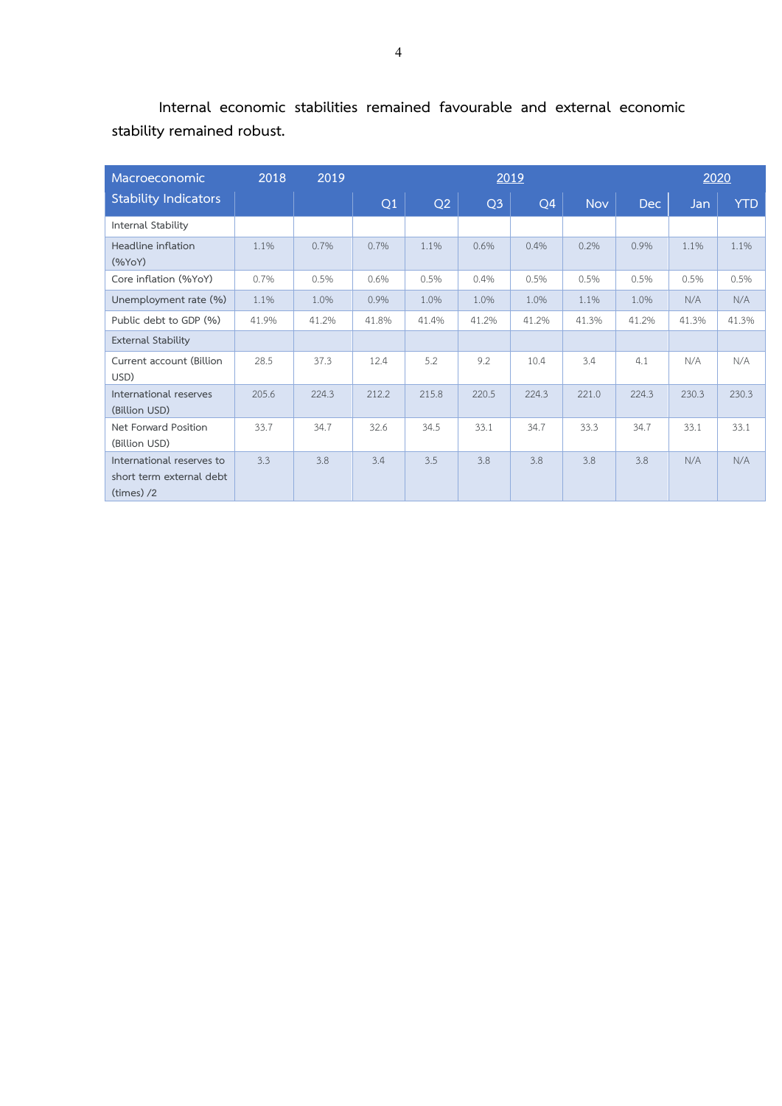| Macroeconomic                                                         | 2018  | 2019  |       | 2019  |                |       |            |       |       |            |
|-----------------------------------------------------------------------|-------|-------|-------|-------|----------------|-------|------------|-------|-------|------------|
| <b>Stability Indicators</b>                                           |       |       | Q1    | Q2    | Q <sub>3</sub> | Q4    | <b>Nov</b> | Dec   | Jan   | <b>YTD</b> |
| Internal Stability                                                    |       |       |       |       |                |       |            |       |       |            |
| Headline inflation<br>(%YoY)                                          | 1.1%  | 0.7%  | 0.7%  | 1.1%  | 0.6%           | 0.4%  | 0.2%       | 0.9%  | 1.1%  | 1.1%       |
| Core inflation (%YoY)                                                 | 0.7%  | 0.5%  | 0.6%  | 0.5%  | 0.4%           | 0.5%  | 0.5%       | 0.5%  | 0.5%  | 0.5%       |
| Unemployment rate (%)                                                 | 1.1%  | 1.0%  | 0.9%  | 1.0%  | 1.0%           | 1.0%  | 1.1%       | 1.0%  | N/A   | N/A        |
| Public debt to GDP (%)                                                | 41.9% | 41.2% | 41.8% | 41.4% | 41.2%          | 41.2% | 41.3%      | 41.2% | 41.3% | 41.3%      |
| <b>External Stability</b>                                             |       |       |       |       |                |       |            |       |       |            |
| Current account (Billion<br>USD)                                      | 28.5  | 37.3  | 12.4  | 5.2   | 9.2            | 10.4  | 3.4        | 4.1   | N/A   | N/A        |
| International reserves<br>(Billion USD)                               | 205.6 | 224.3 | 212.2 | 215.8 | 220.5          | 224.3 | 221.0      | 224.3 | 230.3 | 230.3      |
| Net Forward Position<br>(Billion USD)                                 | 33.7  | 34.7  | 32.6  | 34.5  | 33.1           | 34.7  | 33.3       | 34.7  | 33.1  | 33.1       |
| International reserves to<br>short term external debt<br>$(times)$ /2 | 3.3   | 3.8   | 3.4   | 3.5   | 3.8            | 3.8   | 3.8        | 3.8   | N/A   | N/A        |

**Internal economic stabilities remained favourable and external economic stability remained robust.**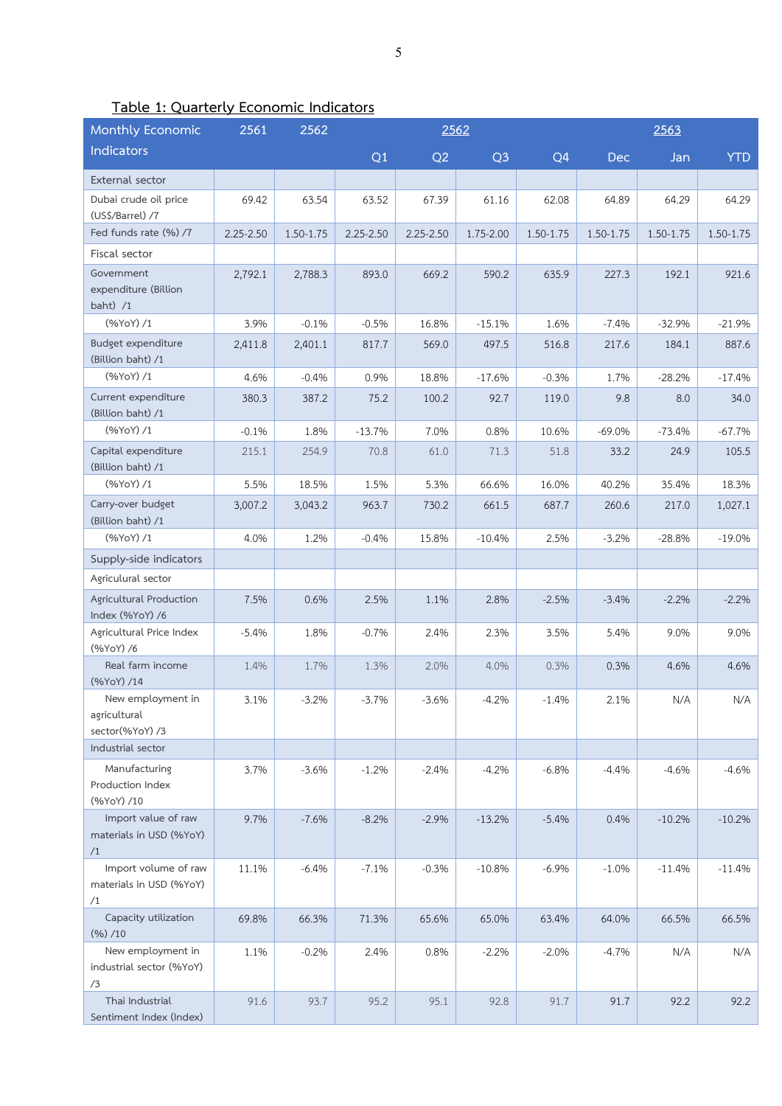| Table 1: Quarterly Economic Indicators |  |
|----------------------------------------|--|
|                                        |  |
|                                        |  |

| Monthly Economic                                      | 2561          | 2562      |               | 2562          |                |                |           |           |            |
|-------------------------------------------------------|---------------|-----------|---------------|---------------|----------------|----------------|-----------|-----------|------------|
| Indicators                                            |               |           | Q1            | Q2            | Q <sub>3</sub> | Q <sub>4</sub> | Dec       | Jan       | <b>YTD</b> |
| External sector                                       |               |           |               |               |                |                |           |           |            |
| Dubai crude oil price<br>(US\$/Barrel) /7             | 69.42         | 63.54     | 63.52         | 67.39         | 61.16          | 62.08          | 64.89     | 64.29     | 64.29      |
| Fed funds rate (%) /7                                 | $2.25 - 2.50$ | 1.50-1.75 | $2.25 - 2.50$ | $2.25 - 2.50$ | 1.75-2.00      | 1.50-1.75      | 1.50-1.75 | 1.50-1.75 | 1.50-1.75  |
| Fiscal sector                                         |               |           |               |               |                |                |           |           |            |
| Government<br>expenditure (Billion<br>baht) $/1$      | 2,792.1       | 2,788.3   | 893.0         | 669.2         | 590.2          | 635.9          | 227.3     | 192.1     | 921.6      |
| (%YoY) /1                                             | 3.9%          | $-0.1%$   | $-0.5%$       | 16.8%         | $-15.1%$       | 1.6%           | $-7.4%$   | $-32.9%$  | $-21.9%$   |
| Budget expenditure<br>(Billion baht) /1               | 2,411.8       | 2,401.1   | 817.7         | 569.0         | 497.5          | 516.8          | 217.6     | 184.1     | 887.6      |
| (%YoY) /1                                             | 4.6%          | $-0.4%$   | 0.9%          | 18.8%         | $-17.6%$       | $-0.3%$        | 1.7%      | $-28.2%$  | $-17.4%$   |
| Current expenditure<br>(Billion baht) /1              | 380.3         | 387.2     | 75.2          | 100.2         | 92.7           | 119.0          | 9.8       | 8.0       | 34.0       |
| (%YoY) /1                                             | $-0.1%$       | 1.8%      | $-13.7%$      | 7.0%          | 0.8%           | 10.6%          | $-69.0%$  | $-73.4%$  | $-67.7%$   |
| Capital expenditure<br>(Billion baht) /1              | 215.1         | 254.9     | 70.8          | 61.0          | 71.3           | 51.8           | 33.2      | 24.9      | 105.5      |
| (%YoY) /1                                             | 5.5%          | 18.5%     | 1.5%          | 5.3%          | 66.6%          | 16.0%          | 40.2%     | 35.4%     | 18.3%      |
| Carry-over budget<br>(Billion baht) /1                | 3,007.2       | 3,043.2   | 963.7         | 730.2         | 661.5          | 687.7          | 260.6     | 217.0     | 1,027.1    |
| (%YoY) /1                                             | 4.0%          | 1.2%      | $-0.4%$       | 15.8%         | $-10.4%$       | 2.5%           | $-3.2%$   | $-28.8%$  | $-19.0%$   |
| Supply-side indicators                                |               |           |               |               |                |                |           |           |            |
| Agriculural sector                                    |               |           |               |               |                |                |           |           |            |
| Agricultural Production<br>Index (%YoY) /6            | 7.5%          | 0.6%      | 2.5%          | 1.1%          | 2.8%           | $-2.5%$        | $-3.4%$   | $-2.2%$   | $-2.2%$    |
| Agricultural Price Index<br>(%YoY) /6                 | $-5.4%$       | 1.8%      | $-0.7%$       | 2.4%          | 2.3%           | 3.5%           | 5.4%      | 9.0%      | 9.0%       |
| Real farm income<br>(%YoY) /14                        | 1.4%          | 1.7%      | 1.3%          | 2.0%          | 4.0%           | 0.3%           | 0.3%      | 4.6%      | 4.6%       |
| New employment in<br>agricultural<br>sector(%YoY) /3  | 3.1%          | $-3.2%$   | $-3.7%$       | $-3.6%$       | $-4.2%$        | $-1.4%$        | 2.1%      | N/A       | N/A        |
| Industrial sector                                     |               |           |               |               |                |                |           |           |            |
| Manufacturing<br>Production Index<br>(%YoY) /10       | 3.7%          | $-3.6%$   | $-1.2%$       | $-2.4%$       | $-4.2%$        | $-6.8%$        | $-4.4%$   | $-4.6%$   | $-4.6%$    |
| Import value of raw<br>materials in USD (%YoY)<br>/1  | 9.7%          | $-7.6%$   | $-8.2%$       | $-2.9%$       | $-13.2%$       | $-5.4%$        | 0.4%      | $-10.2%$  | $-10.2%$   |
| Import volume of raw<br>materials in USD (%YoY)<br>/1 | 11.1%         | $-6.4%$   | $-7.1%$       | $-0.3%$       | $-10.8%$       | $-6.9%$        | $-1.0%$   | $-11.4%$  | $-11.4%$   |
| Capacity utilization<br>(%)/10                        | 69.8%         | 66.3%     | 71.3%         | 65.6%         | 65.0%          | 63.4%          | 64.0%     | 66.5%     | 66.5%      |
| New employment in<br>industrial sector (%YoY)<br>/3   | 1.1%          | $-0.2%$   | 2.4%          | 0.8%          | $-2.2%$        | $-2.0%$        | $-4.7%$   | N/A       | N/A        |
| Thai Industrial<br>Sentiment Index (Index)            | 91.6          | 93.7      | 95.2          | 95.1          | 92.8           | 91.7           | 91.7      | 92.2      | 92.2       |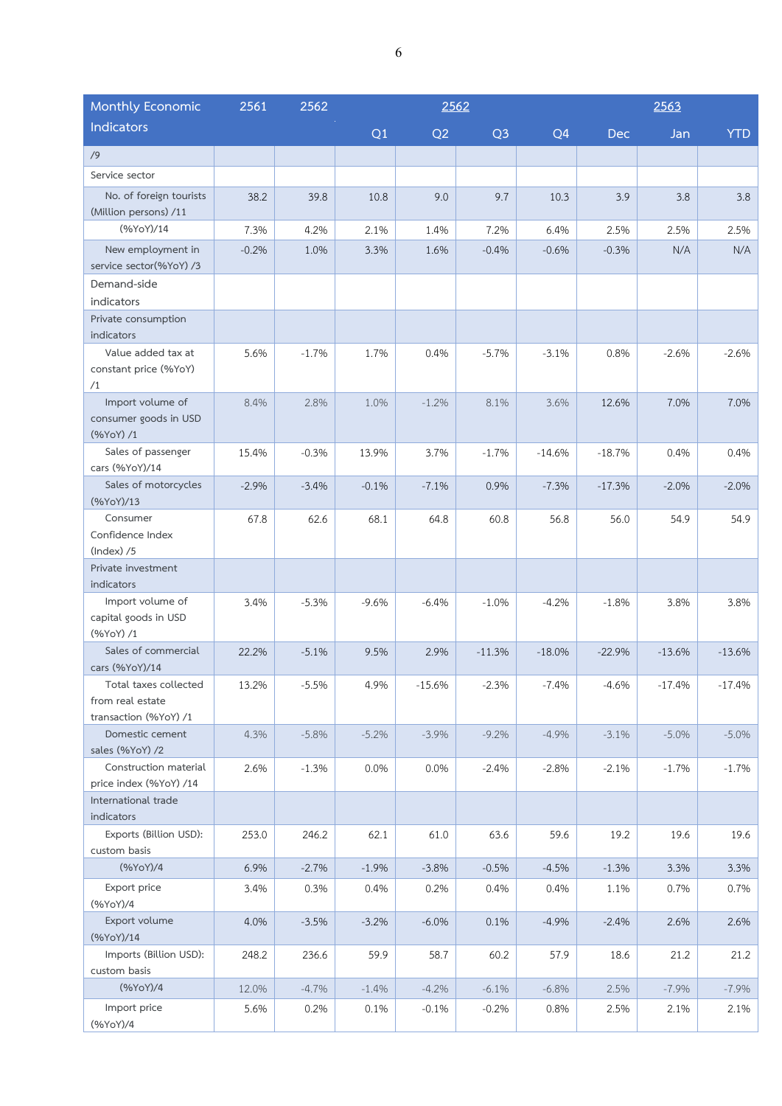| Monthly Economic                                                   | 2561    | 2562    |         | 2562     |                |                | 2563     |          |            |  |
|--------------------------------------------------------------------|---------|---------|---------|----------|----------------|----------------|----------|----------|------------|--|
| Indicators                                                         |         |         | Q1      | Q2       | Q <sub>3</sub> | Q <sub>4</sub> | Dec      | Jan      | <b>YTD</b> |  |
| /9                                                                 |         |         |         |          |                |                |          |          |            |  |
| Service sector                                                     |         |         |         |          |                |                |          |          |            |  |
| No. of foreign tourists<br>(Million persons) /11                   | 38.2    | 39.8    | 10.8    | 9.0      | 9.7            | 10.3           | 3.9      | 3.8      | 3.8        |  |
| (%YoY)/14                                                          | 7.3%    | 4.2%    | 2.1%    | 1.4%     | 7.2%           | 6.4%           | 2.5%     | 2.5%     | 2.5%       |  |
| New employment in<br>service sector(%YoY) /3                       | $-0.2%$ | 1.0%    | 3.3%    | 1.6%     | $-0.4%$        | $-0.6%$        | $-0.3%$  | N/A      | N/A        |  |
| Demand-side                                                        |         |         |         |          |                |                |          |          |            |  |
| indicators                                                         |         |         |         |          |                |                |          |          |            |  |
| Private consumption<br>indicators                                  |         |         |         |          |                |                |          |          |            |  |
| Value added tax at<br>constant price (%YoY)<br>/1                  | 5.6%    | $-1.7%$ | 1.7%    | 0.4%     | $-5.7%$        | $-3.1%$        | 0.8%     | $-2.6%$  | $-2.6%$    |  |
| Import volume of<br>consumer goods in USD<br>(%YoY) /1             | 8.4%    | 2.8%    | 1.0%    | $-1.2%$  | 8.1%           | 3.6%           | 12.6%    | 7.0%     | 7.0%       |  |
| Sales of passenger<br>cars (%YoY)/14                               | 15.4%   | $-0.3%$ | 13.9%   | 3.7%     | $-1.7%$        | $-14.6%$       | $-18.7%$ | 0.4%     | 0.4%       |  |
| Sales of motorcycles<br>(%YoY)/13                                  | $-2.9%$ | $-3.4%$ | $-0.1%$ | $-7.1%$  | 0.9%           | $-7.3%$        | $-17.3%$ | $-2.0%$  | $-2.0%$    |  |
| Consumer<br>Confidence Index<br>$(Index)$ /5                       | 67.8    | 62.6    | 68.1    | 64.8     | 60.8           | 56.8           | 56.0     | 54.9     | 54.9       |  |
| Private investment<br>indicators                                   |         |         |         |          |                |                |          |          |            |  |
| Import volume of<br>capital goods in USD<br>(%YoY) / 1             | 3.4%    | $-5.3%$ | $-9.6%$ | $-6.4%$  | $-1.0%$        | $-4.2%$        | $-1.8%$  | 3.8%     | 3.8%       |  |
| Sales of commercial<br>cars (%YoY)/14                              | 22.2%   | $-5.1%$ | 9.5%    | 2.9%     | $-11.3%$       | $-18.0%$       | $-22.9%$ | $-13.6%$ | $-13.6%$   |  |
| Total taxes collected<br>from real estate<br>transaction (%YoY) /1 | 13.2%   | $-5.5%$ | 4.9%    | $-15.6%$ | $-2.3%$        | $-7.4%$        | $-4.6%$  | $-17.4%$ | $-17.4%$   |  |
| Domestic cement<br>sales (%YoY) /2                                 | 4.3%    | $-5.8%$ | $-5.2%$ | $-3.9%$  | $-9.2%$        | $-4.9%$        | $-3.1%$  | $-5.0%$  | $-5.0%$    |  |
| Construction material<br>price index (%YoY) /14                    | 2.6%    | $-1.3%$ | 0.0%    | 0.0%     | $-2.4%$        | $-2.8%$        | $-2.1%$  | $-1.7%$  | $-1.7%$    |  |
| International trade<br>indicators                                  |         |         |         |          |                |                |          |          |            |  |
| Exports (Billion USD):<br>custom basis                             | 253.0   | 246.2   | 62.1    | 61.0     | 63.6           | 59.6           | 19.2     | 19.6     | 19.6       |  |
| (%YoY)/4                                                           | 6.9%    | $-2.7%$ | $-1.9%$ | $-3.8%$  | $-0.5%$        | $-4.5%$        | $-1.3%$  | 3.3%     | 3.3%       |  |
| Export price<br>(%YoY)/4                                           | 3.4%    | 0.3%    | 0.4%    | 0.2%     | 0.4%           | 0.4%           | 1.1%     | 0.7%     | 0.7%       |  |
| Export volume<br>(%YoY)/14                                         | 4.0%    | $-3.5%$ | $-3.2%$ | $-6.0%$  | 0.1%           | $-4.9%$        | $-2.4%$  | 2.6%     | 2.6%       |  |
| Imports (Billion USD):<br>custom basis                             | 248.2   | 236.6   | 59.9    | 58.7     | 60.2           | 57.9           | 18.6     | 21.2     | 21.2       |  |
| (%YoY)/4                                                           | 12.0%   | $-4.7%$ | $-1.4%$ | $-4.2%$  | $-6.1%$        | $-6.8%$        | 2.5%     | $-7.9%$  | $-7.9%$    |  |
| Import price<br>(%YoY)/4                                           | 5.6%    | 0.2%    | 0.1%    | $-0.1%$  | $-0.2%$        | 0.8%           | 2.5%     | 2.1%     | 2.1%       |  |